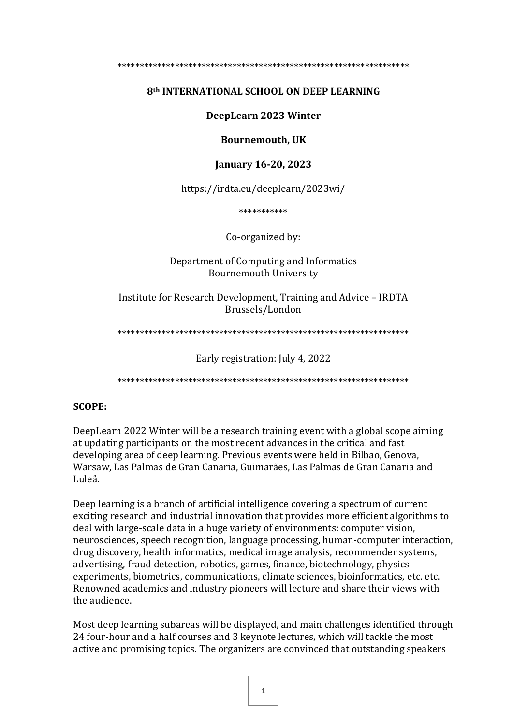#### 

#### 8th INTERNATIONAL SCHOOL ON DEEP LEARNING

#### DeepLearn 2023 Winter

#### **Bournemouth, UK**

#### **January 16-20, 2023**

https://irdta.eu/deeplearn/2023wi/

\*\*\*\*\*\*\*\*\*\*\*

Co-organized by:

Department of Computing and Informatics **Bournemouth University** 

Institute for Research Development. Training and Advice - IRDTA Brussels/London

Early registration: July 4, 2022

#### **SCOPE:**

DeepLearn 2022 Winter will be a research training event with a global scope aiming at updating participants on the most recent advances in the critical and fast developing area of deep learning. Previous events were held in Bilbao, Genova, Warsaw, Las Palmas de Gran Canaria, Guimarães, Las Palmas de Gran Canaria and Luleå

Deep learning is a branch of artificial intelligence covering a spectrum of current exciting research and industrial innovation that provides more efficient algorithms to deal with large-scale data in a huge variety of environments: computer vision, neurosciences, speech recognition, language processing, human-computer interaction, drug discovery, health informatics, medical image analysis, recommender systems, advertising, fraud detection, robotics, games, finance, biotechnology, physics experiments, biometrics, communications, climate sciences, bioinformatics, etc. etc. Renowned academics and industry pioneers will lecture and share their views with the audience.

Most deep learning subareas will be displayed, and main challenges identified through 24 four-hour and a half courses and 3 keynote lectures, which will tackle the most active and promising topics. The organizers are convinced that outstanding speakers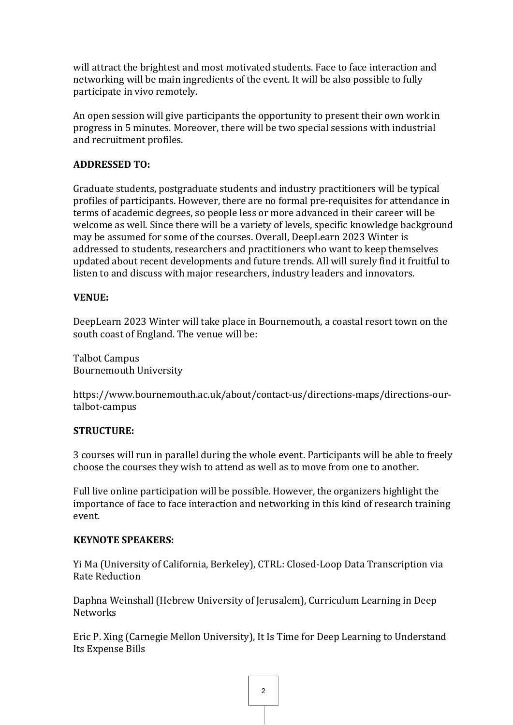will attract the brightest and most motivated students. Face to face interaction and networking will be main ingredients of the event. It will be also possible to fully participate in vivo remotely.

An open session will give participants the opportunity to present their own work in progress in 5 minutes. Moreover, there will be two special sessions with industrial and recruitment profiles.

## **ADDRESSED TO:**

Graduate students, postgraduate students and industry practitioners will be typical profiles of participants. However, there are no formal pre-requisites for attendance in terms of academic degrees, so people less or more advanced in their career will be welcome as well. Since there will be a variety of levels, specific knowledge background may be assumed for some of the courses. Overall, DeepLearn 2023 Winter is addressed to students, researchers and practitioners who want to keep themselves updated about recent developments and future trends. All will surely find it fruitful to listen to and discuss with major researchers, industry leaders and innovators.

# **VENUE:**

DeepLearn 2023 Winter will take place in Bournemouth, a coastal resort town on the south coast of England. The venue will be:

Talbot Campus Bournemouth University

https://www.bournemouth.ac.uk/about/contact-us/directions-maps/directions-ourtalbot-campus

## **STRUCTURE:**

3 courses will run in parallel during the whole event. Participants will be able to freely choose the courses they wish to attend as well as to move from one to another.

Full live online participation will be possible. However, the organizers highlight the importance of face to face interaction and networking in this kind of research training event.

## **KEYNOTE SPEAKERS:**

Yi Ma (University of California, Berkeley), CTRL: Closed-Loop Data Transcription via Rate Reduction

Daphna Weinshall (Hebrew University of Jerusalem), Curriculum Learning in Deep **Networks** 

Eric P. Xing (Carnegie Mellon University), It Is Time for Deep Learning to Understand Its Expense Bills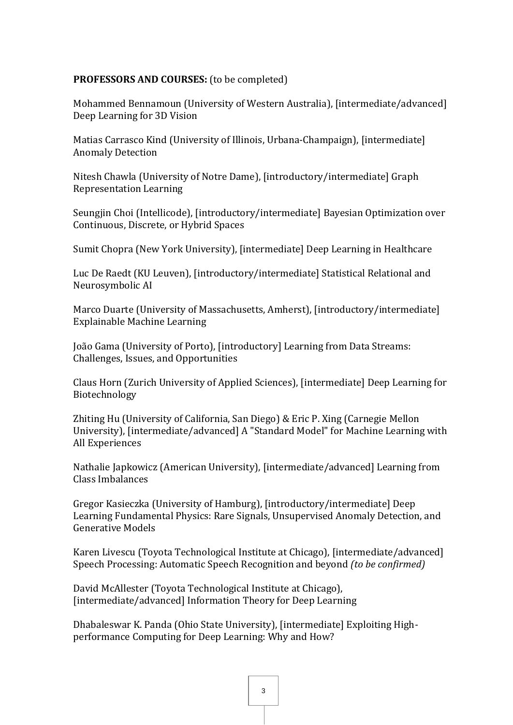#### **PROFESSORS AND COURSES:** (to be completed)

Mohammed Bennamoun (University of Western Australia), [intermediate/advanced] Deep Learning for 3D Vision

Matias Carrasco Kind (University of Illinois, Urbana-Champaign), [intermediate] Anomaly Detection

Nitesh Chawla (University of Notre Dame), [introductory/intermediate] Graph Representation Learning

Seungjin Choi (Intellicode), [introductory/intermediate] Bayesian Optimization over Continuous, Discrete, or Hybrid Spaces

Sumit Chopra (New York University), [intermediate] Deep Learning in Healthcare

Luc De Raedt (KU Leuven), [introductory/intermediate] Statistical Relational and Neurosymbolic AI

Marco Duarte (University of Massachusetts, Amherst), [introductory/intermediate] Explainable Machine Learning

João Gama (University of Porto), [introductory] Learning from Data Streams: Challenges, Issues, and Opportunities

Claus Horn (Zurich University of Applied Sciences), [intermediate] Deep Learning for Biotechnology

Zhiting Hu (University of California, San Diego) & Eric P. Xing (Carnegie Mellon University), [intermediate/advanced] A "Standard Model" for Machine Learning with All Experiences

Nathalie Japkowicz (American University), [intermediate/advanced] Learning from Class Imbalances

Gregor Kasieczka (University of Hamburg), [introductory/intermediate] Deep Learning Fundamental Physics: Rare Signals, Unsupervised Anomaly Detection, and Generative Models

Karen Livescu (Toyota Technological Institute at Chicago), [intermediate/advanced] Speech Processing: Automatic Speech Recognition and beyond *(to be confirmed)*

David McAllester (Toyota Technological Institute at Chicago), [intermediate/advanced] Information Theory for Deep Learning

Dhabaleswar K. Panda (Ohio State University), [intermediate] Exploiting Highperformance Computing for Deep Learning: Why and How?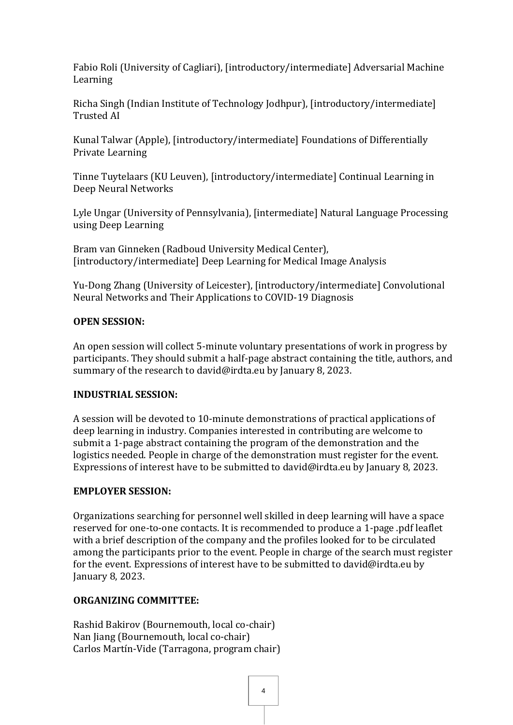Fabio Roli (University of Cagliari), [introductory/intermediate] Adversarial Machine Learning

Richa Singh (Indian Institute of Technology Jodhpur), [introductory/intermediate] Trusted AI

Kunal Talwar (Apple), [introductory/intermediate] Foundations of Differentially Private Learning

Tinne Tuytelaars (KU Leuven), [introductory/intermediate] Continual Learning in Deep Neural Networks

Lyle Ungar (University of Pennsylvania), [intermediate] Natural Language Processing using Deep Learning

Bram van Ginneken (Radboud University Medical Center), [introductory/intermediate] Deep Learning for Medical Image Analysis

Yu-Dong Zhang (University of Leicester), [introductory/intermediate] Convolutional Neural Networks and Their Applications to COVID-19 Diagnosis

## **OPEN SESSION:**

An open session will collect 5-minute voluntary presentations of work in progress by participants. They should submit a half-page abstract containing the title, authors, and summary of the research to david@irdta.eu by January 8, 2023.

## **INDUSTRIAL SESSION:**

A session will be devoted to 10-minute demonstrations of practical applications of deep learning in industry. Companies interested in contributing are welcome to submit a 1-page abstract containing the program of the demonstration and the logistics needed. People in charge of the demonstration must register for the event. Expressions of interest have to be submitted to david@irdta.eu by January 8, 2023.

## **EMPLOYER SESSION:**

Organizations searching for personnel well skilled in deep learning will have a space reserved for one-to-one contacts. It is recommended to produce a 1-page .pdf leaflet with a brief description of the company and the profiles looked for to be circulated among the participants prior to the event. People in charge of the search must register for the event. Expressions of interest have to be submitted to david@irdta.eu by January 8, 2023.

## **ORGANIZING COMMITTEE:**

Rashid Bakirov (Bournemouth, local co-chair) Nan Jiang (Bournemouth, local co-chair) Carlos Martín-Vide (Tarragona, program chair)